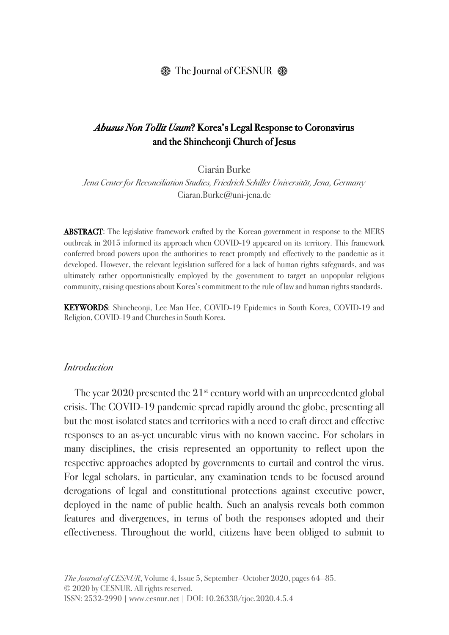#### $\circledR$  The Journal of CESNUR  $\circledR$

### *Abusus Non Tollit Usum*? Korea's Legal Response to Coronavirus and the Shincheonji Church of Jesus

Ciarán Burke

*Jena Center for Reconciliation Studies, Friedrich Schiller Universität, Jena, Germany* Ciaran.Burke@uni-jena.de

ABSTRACT: The legislative framework crafted by the Korean government in response to the MERS outbreak in 2015 informed its approach when COVID-19 appeared on its territory. This framework conferred broad powers upon the authorities to react promptly and effectively to the pandemic as it developed. However, the relevant legislation suffered for a lack of human rights safeguards, and was ultimately rather opportunistically employed by the government to target an unpopular religious community, raising questions about Korea's commitment to the rule of law and human rights standards.

KEYWORDS: Shincheonji, Lee Man Hee, COVID-19 Epidemics in South Korea, COVID-19 and Religion, COVID-19 and Churches in South Korea.

#### *Introduction*

The year  $2020$  presented the  $21<sup>st</sup>$  century world with an unprecedented global crisis. The COVID-19 pandemic spread rapidly around the globe, presenting all but the most isolated states and territories with a need to craft direct and effective responses to an as-yet uncurable virus with no known vaccine. For scholars in many disciplines, the crisis represented an opportunity to reflect upon the respective approaches adopted by governments to curtail and control the virus. For legal scholars, in particular, any examination tends to be focused around derogations of legal and constitutional protections against executive power, deployed in the name of public health. Such an analysis reveals both common features and divergences, in terms of both the responses adopted and their effectiveness. Throughout the world, citizens have been obliged to submit to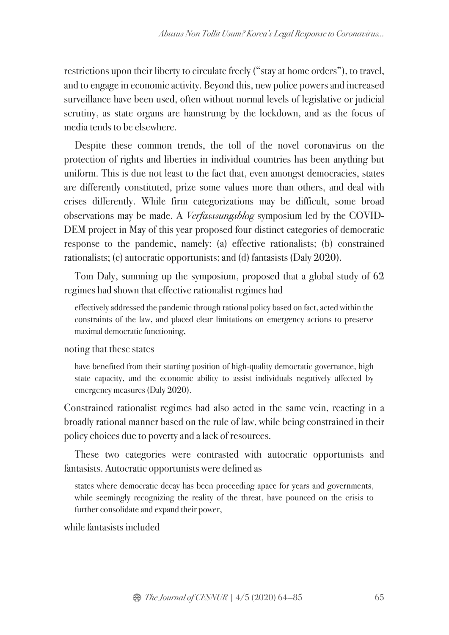restrictions upon their liberty to circulate freely ("stay at home orders"), to travel, and to engage in economic activity. Beyond this, new police powers and increased surveillance have been used, often without normal levels of legislative or judicial scrutiny, as state organs are hamstrung by the lockdown, and as the focus of media tends to be elsewhere.

Despite these common trends, the toll of the novel coronavirus on the protection of rights and liberties in individual countries has been anything but uniform. This is due not least to the fact that, even amongst democracies, states are differently constituted, prize some values more than others, and deal with crises differently. While firm categorizations may be difficult, some broad observations may be made. A *Verfasssungsblog* symposium led by the COVID-DEM project in May of this year proposed four distinct categories of democratic response to the pandemic, namely: (a) effective rationalists; (b) constrained rationalists; (c) autocratic opportunists; and (d) fantasists (Daly 2020).

Tom Daly, summing up the symposium, proposed that a global study of 62 regimes had shown that effective rationalist regimes had

effectively addressed the pandemic through rational policy based on fact, acted within the constraints of the law, and placed clear limitations on emergency actions to preserve maximal democratic functioning,

noting that these states

have benefited from their starting position of high-quality democratic governance, high state capacity, and the economic ability to assist individuals negatively affected by emergency measures (Daly 2020).

Constrained rationalist regimes had also acted in the same vein, reacting in a broadly rational manner based on the rule of law, while being constrained in their policy choices due to poverty and a lack of resources.

These two categories were contrasted with autocratic opportunists and fantasists. Autocratic opportunists were defined as

states where democratic decay has been proceeding apace for years and governments, while seemingly recognizing the reality of the threat, have pounced on the crisis to further consolidate and expand their power,

while fantasists included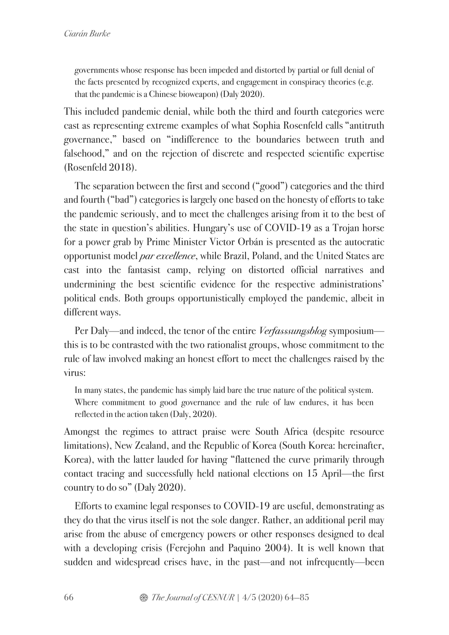governments whose response has been impeded and distorted by partial or full denial of the facts presented by recognized experts, and engagement in conspiracy theories (e.g. that the pandemic is a Chinese bioweapon) (Daly 2020).

This included pandemic denial, while both the third and fourth categories were cast as representing extreme examples of what Sophia Rosenfeld calls "antitruth governance," based on "indifference to the boundaries between truth and falsehood," and on the rejection of discrete and respected scientific expertise (Rosenfeld 2018).

The separation between the first and second ("good") categories and the third and fourth ("bad") categories is largely one based on the honesty of efforts to take the pandemic seriously, and to meet the challenges arising from it to the best of the state in question's abilities. Hungary's use of COVID-19 as a Trojan horse for a power grab by Prime Minister Victor Orbán is presented as the autocratic opportunist model *par excellence*, while Brazil, Poland, and the United States are cast into the fantasist camp, relying on distorted official narratives and undermining the best scientific evidence for the respective administrations' political ends. Both groups opportunistically employed the pandemic, albeit in different ways.

Per Daly—and indeed, the tenor of the entire *Verfasssungsblog* symposium this is to be contrasted with the two rationalist groups, whose commitment to the rule of law involved making an honest effort to meet the challenges raised by the virus:

In many states, the pandemic has simply laid bare the true nature of the political system. Where commitment to good governance and the rule of law endures, it has been reflected in the action taken (Daly, 2020).

Amongst the regimes to attract praise were South Africa (despite resource limitations), New Zealand, and the Republic of Korea (South Korea: hereinafter, Korea), with the latter lauded for having "flattened the curve primarily through contact tracing and successfully held national elections on 15 April—the first country to do so" (Daly 2020).

Efforts to examine legal responses to COVID-19 are useful, demonstrating as they do that the virus itself is not the sole danger. Rather, an additional peril may arise from the abuse of emergency powers or other responses designed to deal with a developing crisis (Ferejohn and Paquino 2004). It is well known that sudden and widespread crises have, in the past—and not infrequently—been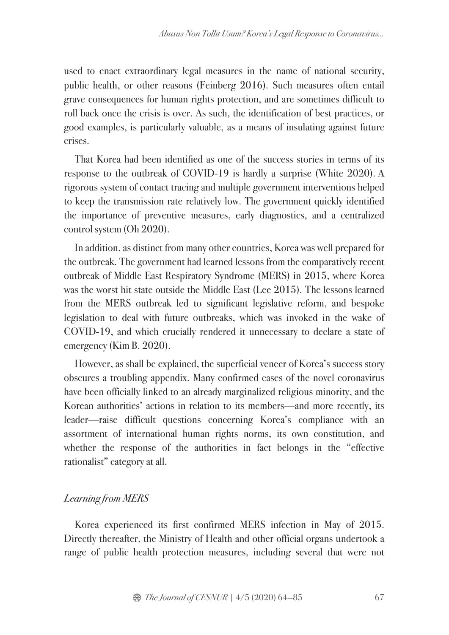used to enact extraordinary legal measures in the name of national security, public health, or other reasons (Feinberg 2016). Such measures often entail grave consequences for human rights protection, and are sometimes difficult to roll back once the crisis is over. As such, the identification of best practices, or good examples, is particularly valuable, as a means of insulating against future crises.

That Korea had been identified as one of the success stories in terms of its response to the outbreak of COVID-19 is hardly a surprise (White 2020). A rigorous system of contact tracing and multiple government interventions helped to keep the transmission rate relatively low. The government quickly identified the importance of preventive measures, early diagnostics, and a centralized control system (Oh 2020).

In addition, as distinct from many other countries, Korea was well prepared for the outbreak. The government had learned lessons from the comparatively recent outbreak of Middle East Respiratory Syndrome (MERS) in 2015, where Korea was the worst hit state outside the Middle East (Lee 2015). The lessons learned from the MERS outbreak led to significant legislative reform, and bespoke legislation to deal with future outbreaks, which was invoked in the wake of COVID-19, and which crucially rendered it unnecessary to declare a state of emergency (Kim B. 2020).

However, as shall be explained, the superficial veneer of Korea's success story obscures a troubling appendix. Many confirmed cases of the novel coronavirus have been officially linked to an already marginalized religious minority, and the Korean authorities' actions in relation to its members—and more recently, its leader—raise difficult questions concerning Korea's compliance with an assortment of international human rights norms, its own constitution, and whether the response of the authorities in fact belongs in the "effective rationalist" category at all.

# *Learning from MERS*

Korea experienced its first confirmed MERS infection in May of 2015. Directly thereafter, the Ministry of Health and other official organs undertook a range of public health protection measures, including several that were not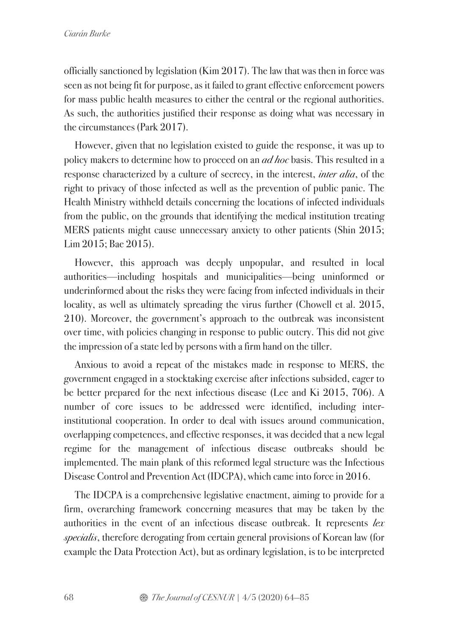officially sanctioned by legislation (Kim 2017). The law that was then in force was seen as not being fit for purpose, as it failed to grant effective enforcement powers for mass public health measures to either the central or the regional authorities. As such, the authorities justified their response as doing what was necessary in the circumstances (Park 2017).

However, given that no legislation existed to guide the response, it was up to policy makers to determine how to proceed on an *ad hoc* basis. This resulted in a response characterized by a culture of secrecy, in the interest, *inter alia*, of the right to privacy of those infected as well as the prevention of public panic. The Health Ministry withheld details concerning the locations of infected individuals from the public, on the grounds that identifying the medical institution treating MERS patients might cause unnecessary anxiety to other patients (Shin 2015; Lim 2015; Bae 2015).

However, this approach was deeply unpopular, and resulted in local authorities—including hospitals and municipalities—being uninformed or underinformed about the risks they were facing from infected individuals in their locality, as well as ultimately spreading the virus further (Chowell et al. 2015, 210). Moreover, the government's approach to the outbreak was inconsistent over time, with policies changing in response to public outcry. This did not give the impression of a state led by persons with a firm hand on the tiller.

Anxious to avoid a repeat of the mistakes made in response to MERS, the government engaged in a stocktaking exercise after infections subsided, eager to be better prepared for the next infectious disease (Lee and Ki 2015, 706). A number of core issues to be addressed were identified, including interinstitutional cooperation. In order to deal with issues around communication, overlapping competences, and effective responses, it was decided that a new legal regime for the management of infectious disease outbreaks should be implemented. The main plank of this reformed legal structure was the Infectious Disease Control and Prevention Act (IDCPA), which came into force in 2016.

The IDCPA is a comprehensive legislative enactment, aiming to provide for a firm, overarching framework concerning measures that may be taken by the authorities in the event of an infectious disease outbreak. It represents *lex specialis*, therefore derogating from certain general provisions of Korean law (for example the Data Protection Act), but as ordinary legislation, is to be interpreted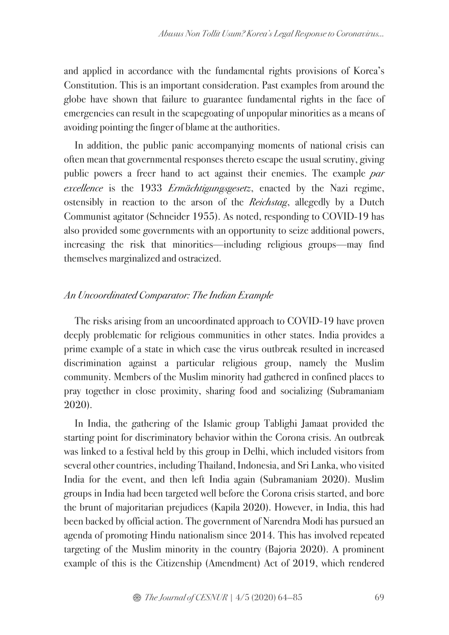and applied in accordance with the fundamental rights provisions of Korea's Constitution. This is an important consideration. Past examples from around the globe have shown that failure to guarantee fundamental rights in the face of emergencies can result in the scapegoating of unpopular minorities as a means of avoiding pointing the finger of blame at the authorities.

In addition, the public panic accompanying moments of national crisis can often mean that governmental responses thereto escape the usual scrutiny, giving public powers a freer hand to act against their enemies. The example *par excellence* is the 1933 *Ermächtigungsgesetz*, enacted by the Nazi regime, ostensibly in reaction to the arson of the *Reichstag*, allegedly by a Dutch Communist agitator (Schneider 1955). As noted, responding to COVID-19 has also provided some governments with an opportunity to seize additional powers, increasing the risk that minorities—including religious groups—may find themselves marginalized and ostracized.

### *An Uncoordinated Comparator: The Indian Example*

The risks arising from an uncoordinated approach to COVID-19 have proven deeply problematic for religious communities in other states. India provides a prime example of a state in which case the virus outbreak resulted in increased discrimination against a particular religious group, namely the Muslim community. Members of the Muslim minority had gathered in confined places to pray together in close proximity, sharing food and socializing (Subramaniam 2020).

In India, the gathering of the Islamic group Tablighi Jamaat provided the starting point for discriminatory behavior within the Corona crisis. An outbreak was linked to a festival held by this group in Delhi, which included visitors from several other countries, including Thailand, Indonesia, and Sri Lanka, who visited India for the event, and then left India again (Subramaniam 2020). Muslim groups in India had been targeted well before the Corona crisis started, and bore the brunt of majoritarian prejudices (Kapila 2020). However, in India, this had been backed by official action. The government of Narendra Modi has pursued an agenda of promoting Hindu nationalism since 2014. This has involved repeated targeting of the Muslim minority in the country (Bajoria 2020). A prominent example of this is the Citizenship (Amendment) Act of 2019, which rendered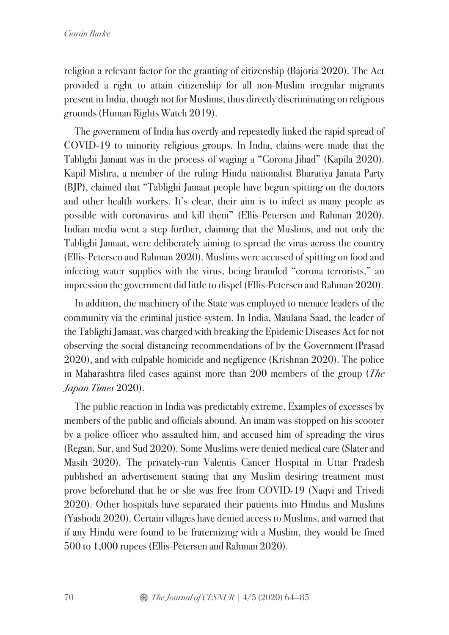religion a relevant factor for the granting of citizenship (Bajoria 2020). The Act provided a right to attain citizenship for all non-Muslim irregular migrants present in India, though not for Muslims, thus directly discriminating on religious grounds (Human Rights Watch 2019).

The government of India has overtly and repeatedly linked the rapid spread of COVID-19 to minority religious groups. In India, claims were made that the Tablighi Jamaat was in the process of waging a "Corona Jihad" (Kapila 2020). Kapil Mishra, a member of the ruling Hindu nationalist Bharatiya Janata Party (BJP), claimed that "Tablighi Jamaat people have begun spitting on the doctors and other health workers. It's clear, their aim is to infect as many people as possible with coronavirus and kill them" (Ellis-Petersen and Rahman 2020). Indian media went a step further, claiming that the Muslims, and not only the Tablighi Jamaat, were deliberately aiming to spread the virus across the country (Ellis-Petersen and Rahman 2020). Muslims were accused of spitting on food and infecting water supplies with the virus, being branded "corona terrorists," an impression the government did little to dispel (Ellis-Petersen and Rahman 2020).

In addition, the machinery of the State was employed to menace leaders of the community via the criminal justice system. In India, Maulana Saad, the leader of the Tablighi Jamaat, was charged with breaking the Epidemic Diseases Act for not observing the social distancing recommendations of by the Government (Prasad 2020), and with culpable homicide and negligence (Krishnan 2020). The police in Maharashtra filed cases against more than 200 members of the group (*The Japan Times* 2020).

The public reaction in India was predictably extreme. Examples of excesses by members of the public and officials abound. An imam was stopped on his scooter by a police officer who assaulted him, and accused him of spreading the virus (Regan, Sur, and Sud 2020). Some Muslims were denied medical care (Slater and Masih 2020). The privately-run Valentis Cancer Hospital in Uttar Pradesh published an advertisement stating that any Muslim desiring treatment must prove beforehand that he or she was free from COVID-19 (Naqvi and Trivedi 2020). Other hospitals have separated their patients into Hindus and Muslims (Yashoda 2020). Certain villages have denied access to Muslims, and warned that if any Hindu were found to be fraternizing with a Muslim, they would be fined 500 to 1,000 rupees (Ellis-Petersen and Rahman 2020).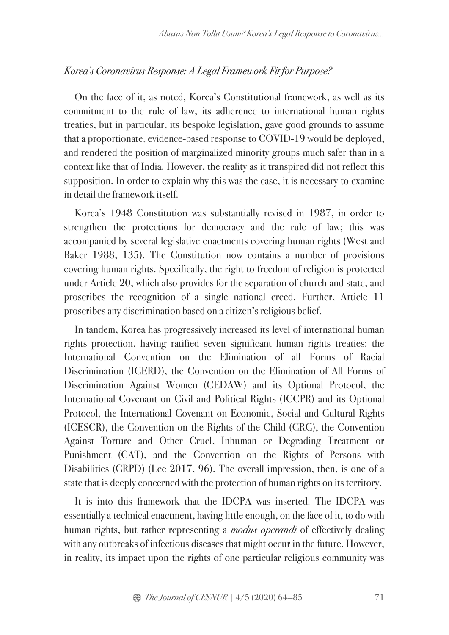#### *Korea's Coronavirus Response: A Legal Framework Fit for Purpose?*

On the face of it, as noted, Korea's Constitutional framework, as well as its commitment to the rule of law, its adherence to international human rights treaties, but in particular, its bespoke legislation, gave good grounds to assume that a proportionate, evidence-based response to COVID-19 would be deployed, and rendered the position of marginalized minority groups much safer than in a context like that of India. However, the reality as it transpired did not reflect this supposition. In order to explain why this was the case, it is necessary to examine in detail the framework itself.

Korea's 1948 Constitution was substantially revised in 1987, in order to strengthen the protections for democracy and the rule of law; this was accompanied by several legislative enactments covering human rights (West and Baker 1988, 135). The Constitution now contains a number of provisions covering human rights. Specifically, the right to freedom of religion is protected under Article 20, which also provides for the separation of church and state, and proscribes the recognition of a single national creed. Further, Article 11 proscribes any discrimination based on a citizen's religious belief.

In tandem, Korea has progressively increased its level of international human rights protection, having ratified seven significant human rights treaties: the International Convention on the Elimination of all Forms of Racial Discrimination (ICERD), the Convention on the Elimination of All Forms of Discrimination Against Women (CEDAW) and its Optional Protocol, the International Covenant on Civil and Political Rights (ICCPR) and its Optional Protocol, the International Covenant on Economic, Social and Cultural Rights (ICESCR), the Convention on the Rights of the Child (CRC), the Convention Against Torture and Other Cruel, Inhuman or Degrading Treatment or Punishment (CAT), and the Convention on the Rights of Persons with Disabilities (CRPD) (Lee 2017, 96). The overall impression, then, is one of a state that is deeply concerned with the protection of human rights on its territory.

It is into this framework that the IDCPA was inserted. The IDCPA was essentially a technical enactment, having little enough, on the face of it, to do with human rights, but rather representing a *modus operandi* of effectively dealing with any outbreaks of infectious diseases that might occur in the future. However, in reality, its impact upon the rights of one particular religious community was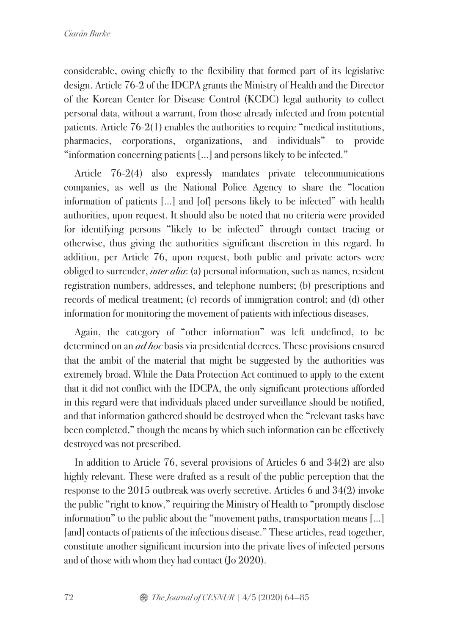considerable, owing chiefly to the flexibility that formed part of its legislative design. Article 76-2 of the IDCPA grants the Ministry of Health and the Director of the Korean Center for Disease Control (KCDC) legal authority to collect personal data, without a warrant, from those already infected and from potential patients. Article 76-2(1) enables the authorities to require "medical institutions, pharmacies, corporations, organizations, and individuals" to provide "information concerning patients […] and persons likely to be infected."

Article 76-2(4) also expressly mandates private telecommunications companies, as well as the National Police Agency to share the "location information of patients [...] and [of] persons likely to be infected" with health authorities, upon request. It should also be noted that no criteria were provided for identifying persons "likely to be infected" through contact tracing or otherwise, thus giving the authorities significant discretion in this regard. In addition, per Article 76, upon request, both public and private actors were obliged to surrender, *inter alia*: (a) personal information, such as names, resident registration numbers, addresses, and telephone numbers; (b) prescriptions and records of medical treatment; (c) records of immigration control; and (d) other information for monitoring the movement of patients with infectious diseases.

Again, the category of "other information" was left undefined, to be determined on an *ad hoc* basis via presidential decrees. These provisions ensured that the ambit of the material that might be suggested by the authorities was extremely broad. While the Data Protection Act continued to apply to the extent that it did not conflict with the IDCPA, the only significant protections afforded in this regard were that individuals placed under surveillance should be notified, and that information gathered should be destroyed when the "relevant tasks have been completed," though the means by which such information can be effectively destroyed was not prescribed.

In addition to Article 76, several provisions of Articles 6 and 34(2) are also highly relevant. These were drafted as a result of the public perception that the response to the 2015 outbreak was overly secretive. Articles 6 and 34(2) invoke the public "right to know," requiring the Ministry of Health to "promptly disclose information" to the public about the "movement paths, transportation means [...] [and] contacts of patients of the infectious disease." These articles, read together, constitute another significant incursion into the private lives of infected persons and of those with whom they had contact (Jo 2020).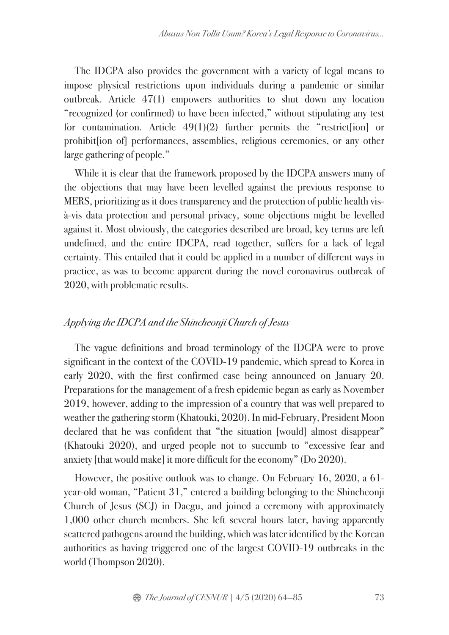The IDCPA also provides the government with a variety of legal means to impose physical restrictions upon individuals during a pandemic or similar outbreak. Article 47(1) empowers authorities to shut down any location "recognized (or confirmed) to have been infected," without stipulating any test for contamination. Article  $49(1)(2)$  further permits the "restrict [ion] or prohibit[ion of] performances, assemblies, religious ceremonies, or any other large gathering of people."

While it is clear that the framework proposed by the IDCPA answers many of the objections that may have been levelled against the previous response to MERS, prioritizing as it does transparency and the protection of public health visà-vis data protection and personal privacy, some objections might be levelled against it. Most obviously, the categories described are broad, key terms are left undefined, and the entire IDCPA, read together, suffers for a lack of legal certainty. This entailed that it could be applied in a number of different ways in practice, as was to become apparent during the novel coronavirus outbreak of 2020, with problematic results.

### *Applying the IDCPA and the Shincheonji Church of Jesus*

The vague definitions and broad terminology of the IDCPA were to prove significant in the context of the COVID-19 pandemic, which spread to Korea in early 2020, with the first confirmed case being announced on January 20. Preparations for the management of a fresh epidemic began as early as November 2019, however, adding to the impression of a country that was well prepared to weather the gathering storm (Khatouki, 2020). In mid-February, President Moon declared that he was confident that "the situation [would] almost disappear" (Khatouki 2020), and urged people not to succumb to "excessive fear and anxiety [that would make] it more difficult for the economy" (Do 2020).

However, the positive outlook was to change. On February 16, 2020, a 61 year-old woman, "Patient 31," entered a building belonging to the Shincheonji Church of Jesus (SCJ) in Daegu, and joined a ceremony with approximately 1,000 other church members. She left several hours later, having apparently scattered pathogens around the building, which was later identified by the Korean authorities as having triggered one of the largest COVID-19 outbreaks in the world (Thompson 2020).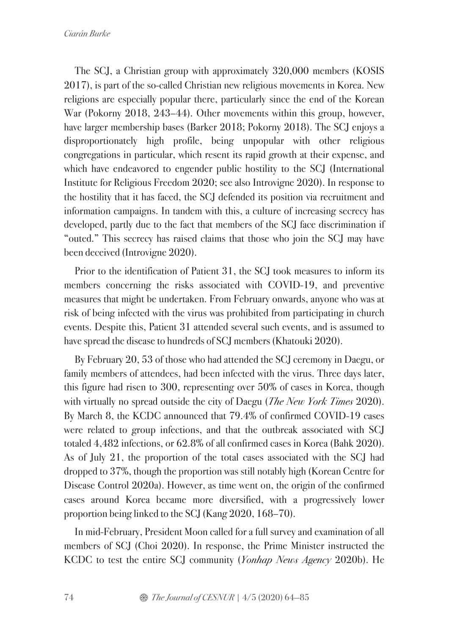The SCJ, a Christian group with approximately 320,000 members (KOSIS 2017), is part of the so-called Christian new religious movements in Korea. New religions are especially popular there, particularly since the end of the Korean War (Pokorny 2018, 243–44). Other movements within this group, however, have larger membership bases (Barker 2018; Pokorny 2018). The SCJ enjoys a disproportionately high profile, being unpopular with other religious congregations in particular, which resent its rapid growth at their expense, and which have endeavored to engender public hostility to the SCJ (International Institute for Religious Freedom 2020; see also Introvigne 2020). In response to the hostility that it has faced, the SCJ defended its position via recruitment and information campaigns. In tandem with this, a culture of increasing secrecy has developed, partly due to the fact that members of the SCJ face discrimination if "outed." This secrecy has raised claims that those who join the SCJ may have been deceived (Introvigne 2020).

Prior to the identification of Patient 31, the SCJ took measures to inform its members concerning the risks associated with COVID-19, and preventive measures that might be undertaken. From February onwards, anyone who was at risk of being infected with the virus was prohibited from participating in church events. Despite this, Patient 31 attended several such events, and is assumed to have spread the disease to hundreds of SCJ members (Khatouki 2020).

By February 20, 53 of those who had attended the SCJ ceremony in Daegu, or family members of attendees, had been infected with the virus. Three days later, this figure had risen to 300, representing over 50% of cases in Korea, though with virtually no spread outside the city of Daegu (*The New York Times* 2020). By March 8, the KCDC announced that 79.4% of confirmed COVID-19 cases were related to group infections, and that the outbreak associated with SCJ totaled 4,482 infections, or 62.8% of all confirmed cases in Korea (Bahk 2020). As of July 21, the proportion of the total cases associated with the SCJ had dropped to 37%, though the proportion was still notably high (Korean Centre for Disease Control 2020a). However, as time went on, the origin of the confirmed cases around Korea became more diversified, with a progressively lower proportion being linked to the SCJ (Kang 2020, 168–70).

In mid-February, President Moon called for a full survey and examination of all members of SCJ (Choi 2020). In response, the Prime Minister instructed the KCDC to test the entire SCJ community (*Yonhap News Agency* 2020b). He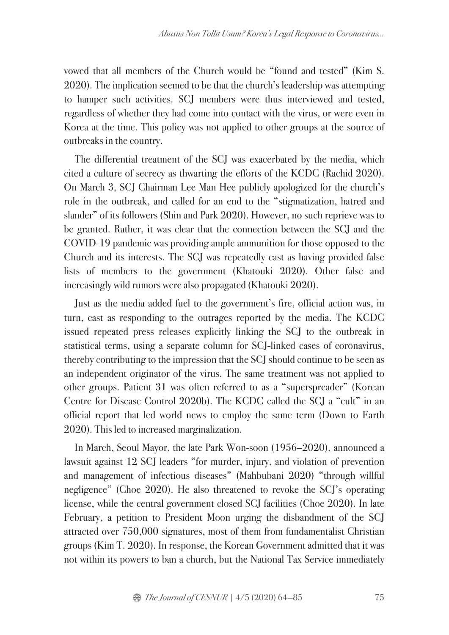vowed that all members of the Church would be "found and tested" (Kim S. 2020). The implication seemed to be that the church's leadership was attempting to hamper such activities. SCJ members were thus interviewed and tested, regardless of whether they had come into contact with the virus, or were even in Korea at the time. This policy was not applied to other groups at the source of outbreaks in the country.

The differential treatment of the SCJ was exacerbated by the media, which cited a culture of secrecy as thwarting the efforts of the KCDC (Rachid 2020). On March 3, SCJ Chairman Lee Man Hee publicly apologized for the church's role in the outbreak, and called for an end to the "stigmatization, hatred and slander" of its followers (Shin and Park 2020). However, no such reprieve was to be granted. Rather, it was clear that the connection between the SCJ and the COVID-19 pandemic was providing ample ammunition for those opposed to the Church and its interests. The SCJ was repeatedly cast as having provided false lists of members to the government (Khatouki 2020). Other false and increasingly wild rumors were also propagated (Khatouki 2020).

Just as the media added fuel to the government's fire, official action was, in turn, cast as responding to the outrages reported by the media. The KCDC issued repeated press releases explicitly linking the SCJ to the outbreak in statistical terms, using a separate column for SCJ-linked cases of coronavirus, thereby contributing to the impression that the SCJ should continue to be seen as an independent originator of the virus. The same treatment was not applied to other groups. Patient 31 was often referred to as a "superspreader" (Korean Centre for Disease Control 2020b). The KCDC called the SCJ a "cult" in an official report that led world news to employ the same term (Down to Earth 2020). This led to increased marginalization.

In March, Seoul Mayor, the late Park Won-soon (1956–2020), announced a lawsuit against 12 SCJ leaders "for murder, injury, and violation of prevention and management of infectious diseases" (Mahbubani 2020) "through willful negligence" (Choe 2020). He also threatened to revoke the SCJ's operating license, while the central government closed SCJ facilities (Choe 2020). In late February, a petition to President Moon urging the disbandment of the SCJ attracted over 750,000 signatures, most of them from fundamentalist Christian groups (Kim T. 2020). In response, the Korean Government admitted that it was not within its powers to ban a church, but the National Tax Service immediately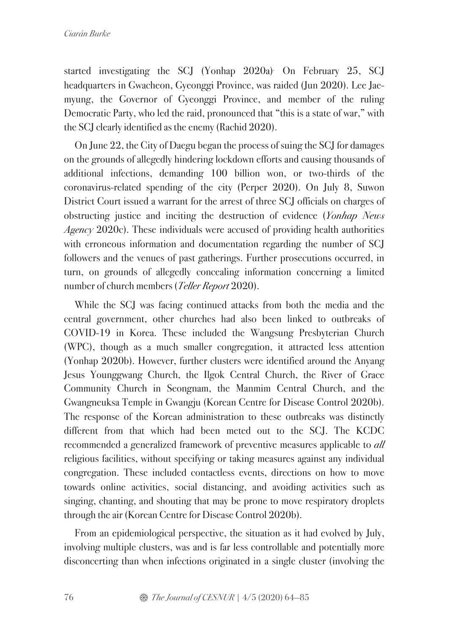started investigating the SCJ (Yonhap 2020a). On February 25, SCJ headquarters in Gwacheon, Gyeonggi Province, was raided (Jun 2020). Lee Jaemyung, the Governor of Gyeonggi Province, and member of the ruling Democratic Party, who led the raid, pronounced that "this is a state of war," with the SCJ clearly identified as the enemy (Rachid 2020).

On June 22, the City of Daegu began the process of suing the SCJ for damages on the grounds of allegedly hindering lockdown efforts and causing thousands of additional infections, demanding 100 billion won, or two-thirds of the coronavirus-related spending of the city (Perper 2020). On July 8, Suwon District Court issued a warrant for the arrest of three SCJ officials on charges of obstructing justice and inciting the destruction of evidence (*Yonhap News Agency* 2020c). These individuals were accused of providing health authorities with erroneous information and documentation regarding the number of SCI followers and the venues of past gatherings. Further prosecutions occurred, in turn, on grounds of allegedly concealing information concerning a limited number of church members (*Teller Report* 2020).

While the SCJ was facing continued attacks from both the media and the central government, other churches had also been linked to outbreaks of COVID-19 in Korea. These included the Wangsung Presbyterian Church (WPC), though as a much smaller congregation, it attracted less attention (Yonhap 2020b). However, further clusters were identified around the Anyang Jesus Younggwang Church, the Ilgok Central Church, the River of Grace Community Church in Seongnam, the Manmim Central Church, and the Gwangneuksa Temple in Gwangju (Korean Centre for Disease Control 2020b). The response of the Korean administration to these outbreaks was distinctly different from that which had been meted out to the SCJ. The KCDC recommended a generalized framework of preventive measures applicable to *all*  religious facilities, without specifying or taking measures against any individual congregation. These included contactless events, directions on how to move towards online activities, social distancing, and avoiding activities such as singing, chanting, and shouting that may be prone to move respiratory droplets through the air (Korean Centre for Disease Control 2020b).

From an epidemiological perspective, the situation as it had evolved by July, involving multiple clusters, was and is far less controllable and potentially more disconcerting than when infections originated in a single cluster (involving the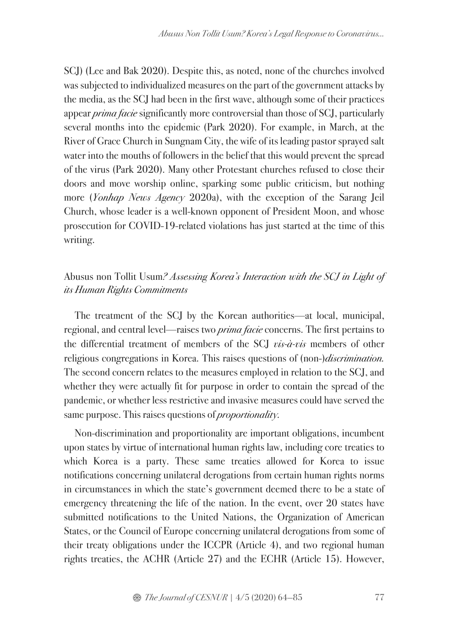SCJ) (Lee and Bak 2020). Despite this, as noted, none of the churches involved was subjected to individualized measures on the part of the government attacks by the media, as the SCJ had been in the first wave, although some of their practices appear *prima facie* significantly more controversial than those of SCJ, particularly several months into the epidemic (Park 2020). For example, in March, at the River of Grace Church in Sungnam City, the wife of its leading pastor sprayed salt water into the mouths of followers in the belief that this would prevent the spread of the virus (Park 2020). Many other Protestant churches refused to close their doors and move worship online, sparking some public criticism, but nothing more (*Yonhap News Agency* 2020a), with the exception of the Sarang Jeil Church, whose leader is a well-known opponent of President Moon, and whose prosecution for COVID-19-related violations has just started at the time of this writing.

### Abusus non Tollit Usum*? Assessing Korea's Interaction with the SCJ in Light of its Human Rights Commitments*

The treatment of the SCJ by the Korean authorities—at local, municipal, regional, and central level—raises two *prima facie* concerns. The first pertains to the differential treatment of members of the SCJ *vis-à-vis* members of other religious congregations in Korea. This raises questions of (non-)*discrimination.*  The second concern relates to the measures employed in relation to the SCJ, and whether they were actually fit for purpose in order to contain the spread of the pandemic, or whether less restrictive and invasive measures could have served the same purpose. This raises questions of *proportionality.*

Non-discrimination and proportionality are important obligations, incumbent upon states by virtue of international human rights law, including core treaties to which Korea is a party. These same treaties allowed for Korea to issue notifications concerning unilateral derogations from certain human rights norms in circumstances in which the state's government deemed there to be a state of emergency threatening the life of the nation. In the event, over 20 states have submitted notifications to the United Nations, the Organization of American States, or the Council of Europe concerning unilateral derogations from some of their treaty obligations under the ICCPR (Article 4), and two regional human rights treaties, the ACHR (Article 27) and the ECHR (Article 15). However,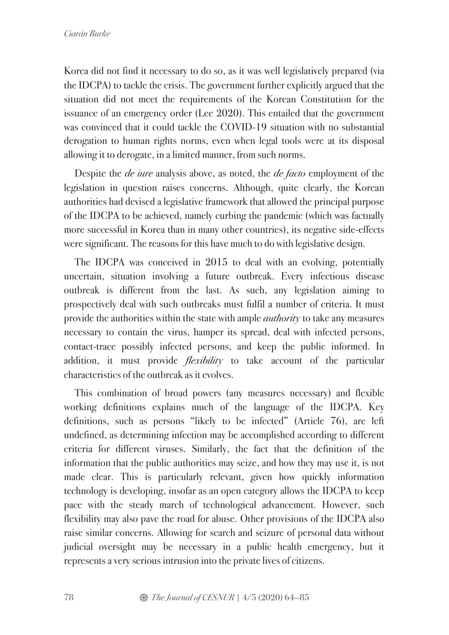Korea did not find it necessary to do so, as it was well legislatively prepared (via the IDCPA) to tackle the crisis. The government further explicitly argued that the situation did not meet the requirements of the Korean Constitution for the issuance of an emergency order (Lee 2020). This entailed that the government was convinced that it could tackle the COVID-19 situation with no substantial derogation to human rights norms, even when legal tools were at its disposal allowing it to derogate, in a limited manner, from such norms.

Despite the *de iure* analysis above, as noted, the *de facto* employment of the legislation in question raises concerns. Although, quite clearly, the Korean authorities had devised a legislative framework that allowed the principal purpose of the IDCPA to be achieved, namely curbing the pandemic (which was factually more successful in Korea than in many other countries), its negative side-effects were significant. The reasons for this have much to do with legislative design.

The IDCPA was conceived in 2015 to deal with an evolving, potentially uncertain, situation involving a future outbreak. Every infectious disease outbreak is different from the last. As such, any legislation aiming to prospectively deal with such outbreaks must fulfil a number of criteria. It must provide the authorities within the state with ample *authority* to take any measures necessary to contain the virus, hamper its spread, deal with infected persons, contact-trace possibly infected persons, and keep the public informed. In addition, it must provide *flexibility* to take account of the particular characteristics of the outbreak as it evolves.

This combination of broad powers (any measures necessary) and flexible working definitions explains much of the language of the IDCPA. Key definitions, such as persons "likely to be infected" (Article 76), are left undefined, as determining infection may be accomplished according to different criteria for different viruses. Similarly, the fact that the definition of the information that the public authorities may seize, and how they may use it, is not made clear. This is particularly relevant, given how quickly information technology is developing, insofar as an open category allows the IDCPA to keep pace with the steady march of technological advancement. However, such flexibility may also pave the road for abuse. Other provisions of the IDCPA also raise similar concerns. Allowing for search and seizure of personal data without judicial oversight may be necessary in a public health emergency, but it represents a very serious intrusion into the private lives of citizens.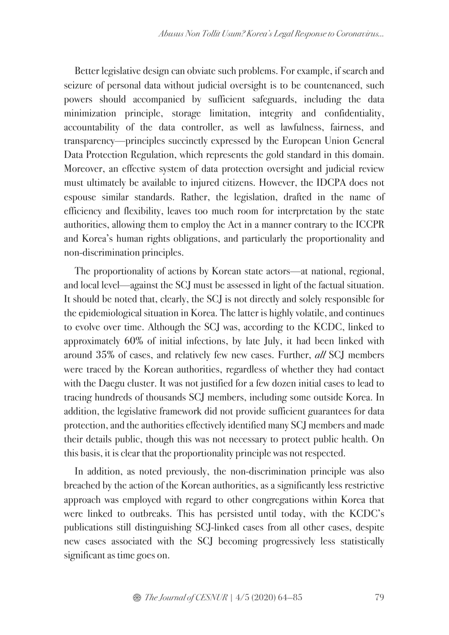Better legislative design can obviate such problems. For example, if search and seizure of personal data without judicial oversight is to be countenanced, such powers should accompanied by sufficient safeguards, including the data minimization principle, storage limitation, integrity and confidentiality, accountability of the data controller, as well as lawfulness, fairness, and transparency—principles succinctly expressed by the European Union General Data Protection Regulation, which represents the gold standard in this domain. Moreover, an effective system of data protection oversight and judicial review must ultimately be available to injured citizens. However, the IDCPA does not espouse similar standards. Rather, the legislation, drafted in the name of efficiency and flexibility, leaves too much room for interpretation by the state authorities, allowing them to employ the Act in a manner contrary to the ICCPR and Korea's human rights obligations, and particularly the proportionality and non-discrimination principles.

The proportionality of actions by Korean state actors—at national, regional, and local level—against the SCJ must be assessed in light of the factual situation. It should be noted that, clearly, the SCJ is not directly and solely responsible for the epidemiological situation in Korea. The latter is highly volatile, and continues to evolve over time. Although the SCJ was, according to the KCDC, linked to approximately 60% of initial infections, by late July, it had been linked with around 35% of cases, and relatively few new cases. Further, *all* SCJ members were traced by the Korean authorities, regardless of whether they had contact with the Daegu cluster. It was not justified for a few dozen initial cases to lead to tracing hundreds of thousands SCJ members, including some outside Korea. In addition, the legislative framework did not provide sufficient guarantees for data protection, and the authorities effectively identified many SCJ members and made their details public, though this was not necessary to protect public health. On this basis, it is clear that the proportionality principle was not respected.

In addition, as noted previously, the non-discrimination principle was also breached by the action of the Korean authorities, as a significantly less restrictive approach was employed with regard to other congregations within Korea that were linked to outbreaks. This has persisted until today, with the KCDC's publications still distinguishing SCJ-linked cases from all other cases, despite new cases associated with the SCJ becoming progressively less statistically significant as time goes on.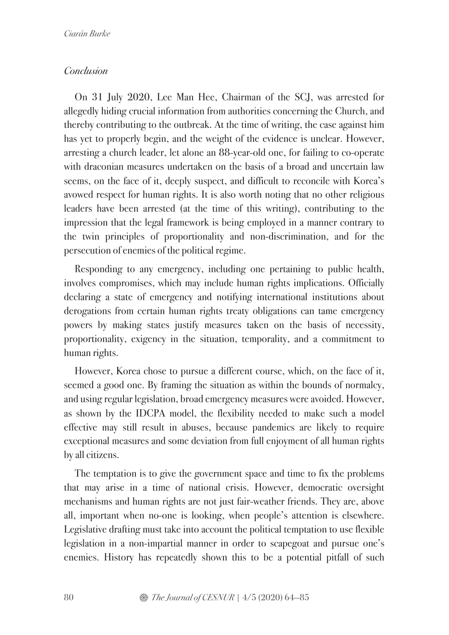### *Conclusion*

On 31 July 2020, Lee Man Hee, Chairman of the SCJ, was arrested for allegedly hiding crucial information from authorities concerning the Church, and thereby contributing to the outbreak. At the time of writing, the case against him has yet to properly begin, and the weight of the evidence is unclear. However, arresting a church leader, let alone an 88-year-old one, for failing to co-operate with draconian measures undertaken on the basis of a broad and uncertain law seems, on the face of it, deeply suspect, and difficult to reconcile with Korea's avowed respect for human rights. It is also worth noting that no other religious leaders have been arrested (at the time of this writing), contributing to the impression that the legal framework is being employed in a manner contrary to the twin principles of proportionality and non-discrimination, and for the persecution of enemies of the political regime.

Responding to any emergency, including one pertaining to public health, involves compromises, which may include human rights implications. Officially declaring a state of emergency and notifying international institutions about derogations from certain human rights treaty obligations can tame emergency powers by making states justify measures taken on the basis of necessity, proportionality, exigency in the situation, temporality, and a commitment to human rights.

However, Korea chose to pursue a different course, which, on the face of it, seemed a good one. By framing the situation as within the bounds of normalcy, and using regular legislation, broad emergency measures were avoided. However, as shown by the IDCPA model, the flexibility needed to make such a model effective may still result in abuses, because pandemics are likely to require exceptional measures and some deviation from full enjoyment of all human rights by all citizens.

The temptation is to give the government space and time to fix the problems that may arise in a time of national crisis. However, democratic oversight mechanisms and human rights are not just fair-weather friends. They are, above all, important when no-one is looking, when people's attention is elsewhere. Legislative drafting must take into account the political temptation to use flexible legislation in a non-impartial manner in order to scapegoat and pursue one's enemies. History has repeatedly shown this to be a potential pitfall of such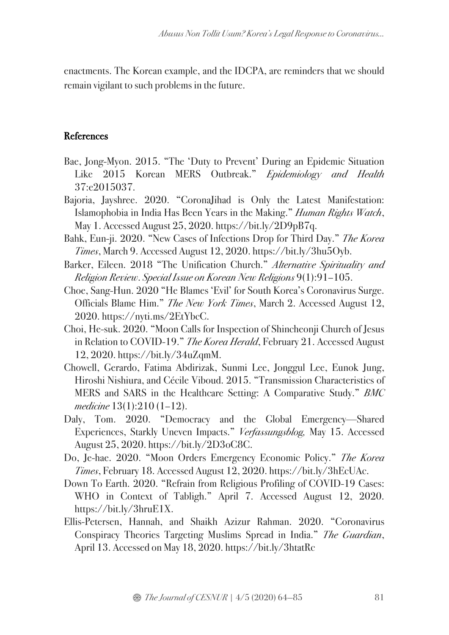enactments. The Korean example, and the IDCPA, are reminders that we should remain vigilant to such problems in the future.

## References

- Bae, Jong-Myon. 2015. "The 'Duty to Prevent' During an Epidemic Situation Like 2015 Korean MERS Outbreak." *Epidemiology and Health* 37:e2015037.
- Bajoria, Jayshree. 2020. "CoronaJihad is Only the Latest Manifestation: Islamophobia in India Has Been Years in the Making." *Human Rights Watch*, May 1. Accessed August 25, 2020. https://bit.ly/2D9pB7q.
- Bahk, Eun-ji. 2020. "New Cases of Infections Drop for Third Day." *The Korea Times*, March 9. Accessed August 12, 2020. https://bit.ly/3hu5Oyb.
- Barker, Eileen. 2018 "The Unification Church." *Alternative Spirituality and Religion Review*. *Special Issue on Korean New Religions* 9(1):91–105.
- Choe, Sang-Hun. 2020 "He Blames 'Evil' for South Korea's Coronavirus Surge. Officials Blame Him." *The New York Times*, March 2. Accessed August 12, 2020. https://nyti.ms/2EtYbcC.
- Choi, He-suk. 2020. "Moon Calls for Inspection of Shincheonji Church of Jesus in Relation to COVID-19." *The Korea Herald*, February 21. Accessed August 12, 2020. https://bit.ly/34uZqmM.
- Chowell, Gerardo, Fatima Abdirizak, Sunmi Lee, Jonggul Lee, Eunok Jung, Hiroshi Nishiura, and Cécile Viboud. 2015. "Transmission Characteristics of MERS and SARS in the Healthcare Setting: A Comparative Study." *BMC medicine* 13(1):210 (1–12).
- Daly, Tom. 2020. "Democracy and the Global Emergency—Shared Experiences, Starkly Uneven Impacts." *Verfassungsblog,* May 15. Accessed August 25, 2020. https://bit.ly/2D3oC8C.
- Do, Je-hae. 2020. "Moon Orders Emergency Economic Policy." *The Korea Times*, February 18. Accessed August 12, 2020. https://bit.ly/3hEcUAc.
- Down To Earth. 2020. "Refrain from Religious Profiling of COVID-19 Cases: WHO in Context of Tabligh." April 7. Accessed August 12, 2020. https://bit.ly/3hruE1X.
- Ellis-Petersen, Hannah, and Shaikh Azizur Rahman. 2020. "Coronavirus Conspiracy Theories Targeting Muslims Spread in India." *The Guardian*, April 13. Accessed on May 18, 2020. https://bit.ly/3htatRc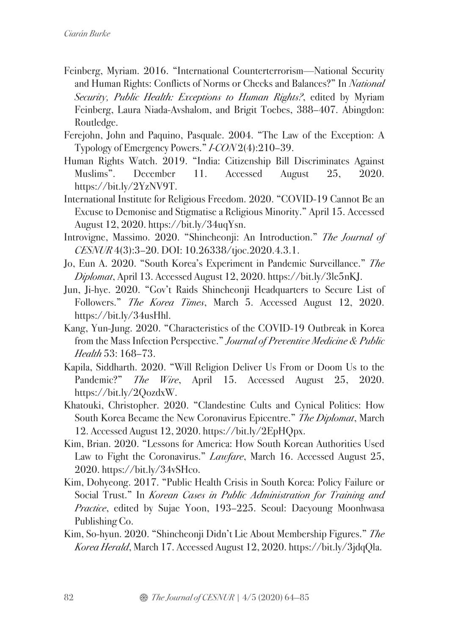- Feinberg, Myriam. 2016. "International Counterterrorism—National Security and Human Rights: Conflicts of Norms or Checks and Balances?" In *National Security, Public Health: Exceptions to Human Rights?*, edited by Myriam Feinberg, Laura Niada-Avshalom, and Brigit Toebes, 388–407. Abingdon: Routledge.
- Ferejohn, John and Paquino, Pasquale. 2004. "The Law of the Exception: A Typology of Emergency Powers." *I-CON* 2(4):210–39.
- Human Rights Watch. 2019. "India: Citizenship Bill Discriminates Against Muslims". December 11. Accessed August 25, 2020. https://bit.ly/2YzNV9T.
- International Institute for Religious Freedom. 2020. "COVID-19 Cannot Be an Excuse to Demonise and Stigmatise a Religious Minority." April 15. Accessed August 12, 2020. https://bit.ly/34uqYsn.
- Introvigne, Massimo. 2020. "Shincheonji: An Introduction." *The Journal of CESNUR* 4(3):3–20. DOI: 10.26338/tjoc.2020.4.3.1.
- Jo, Eun A. 2020. "South Korea's Experiment in Pandemic Surveillance." *The Diplomat*, April 13. Accessed August 12, 2020. https://bit.ly/3le5nKJ.
- Jun, Ji-hye. 2020. "Gov't Raids Shincheonji Headquarters to Secure List of Followers." *The Korea Times*, March 5. Accessed August 12, 2020. https://bit.ly/34usHhl.
- Kang, Yun-Jung. 2020. "Characteristics of the COVID-19 Outbreak in Korea from the Mass Infection Perspective." *Journal of Preventive Medicine & Public Health* 53: 168–73.
- Kapila, Siddharth. 2020. "Will Religion Deliver Us From or Doom Us to the Pandemic?" *The Wire*, April 15. Accessed August 25, 2020. https://bit.ly/2QozdxW.
- Khatouki, Christopher. 2020. "Clandestine Cults and Cynical Politics: How South Korea Became the New Coronavirus Epicentre." *The Diplomat*, March 12. Accessed August 12, 2020. https://bit.ly/2EpHQpx.
- Kim, Brian. 2020. "Lessons for America: How South Korean Authorities Used Law to Fight the Coronavirus." *Lawfare*, March 16. Accessed August 25, 2020. https://bit.ly/34vSHco.
- Kim, Dohyeong. 2017. "Public Health Crisis in South Korea: Policy Failure or Social Trust." In *Korean Cases in Public Administration for Training and Practice*, edited by Sujae Yoon, 193–225. Seoul: Daeyoung Moonhwasa Publishing Co.
- Kim, So-hyun. 2020. "Shincheonji Didn't Lie About Membership Figures." *The Korea Herald*, March 17. Accessed August 12, 2020. https://bit.ly/3jdqQla.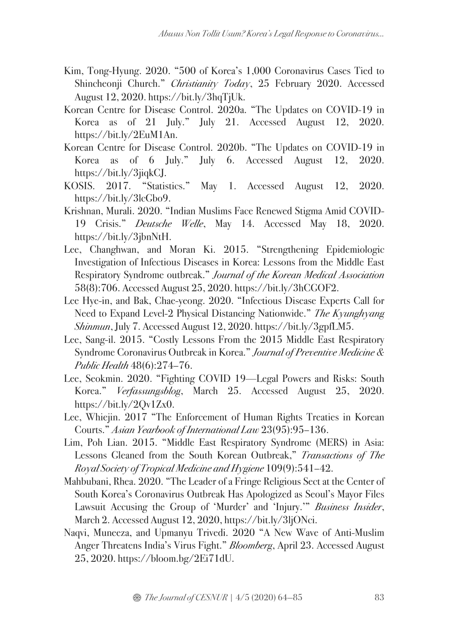- Kim, Tong-Hyung. 2020. "500 of Korea's 1,000 Coronavirus Cases Tied to Shincheonji Church." *Christianity Today*, 25 February 2020. Accessed August 12, 2020. https://bit.ly/3hqTjUk.
- Korean Centre for Disease Control. 2020a. "The Updates on COVID-19 in Korea as of 21 July." July 21. Accessed August 12, 2020. https://bit.ly/2EuM1An.
- Korean Centre for Disease Control. 2020b. "The Updates on COVID-19 in Korea as of 6 July." July 6. Accessed August 12, 2020. https://bit.ly/3jiqkCJ.
- KOSIS. 2017. "Statistics." May 1. Accessed August 12, 2020. https://bit.ly/3lcGbo9.
- Krishnan, Murali. 2020. "Indian Muslims Face Renewed Stigma Amid COVID-19 Crisis." *Deutsche Welle*, May 14. Accessed May 18, 2020. https://bit.ly/3jbnNtH.
- Lee, Changhwan, and Moran Ki. 2015. "Strengthening Epidemiologic Investigation of Infectious Diseases in Korea: Lessons from the Middle East Respiratory Syndrome outbreak." *Journal of the Korean Medical Association*  58(8):706. Accessed August 25, 2020. https://bit.ly/3hCGOF2.
- Lee Hye-in, and Bak, Chae-yeong. 2020. "Infectious Disease Experts Call for Need to Expand Level-2 Physical Distancing Nationwide." *The Kyunghyang Shinmun*, July 7. Accessed August 12, 2020. https://bit.ly/3gpfLM5.
- Lee, Sang-il. 2015. "Costly Lessons From the 2015 Middle East Respiratory Syndrome Coronavirus Outbreak in Korea." *Journal of Preventive Medicine & Public Health* 48(6):274–76.
- Lee, Seokmin. 2020. "Fighting COVID 19—Legal Powers and Risks: South Korea." *Verfassungsblog*, March 25. Accessed August 25, 2020. https://bit.ly/2Qv1Zx0.
- Lee, Whiejin. 2017 "The Enforcement of Human Rights Treaties in Korean Courts." *Asian Yearbook of International Law* 23(95):95–136.
- Lim, Poh Lian. 2015. "Middle East Respiratory Syndrome (MERS) in Asia: Lessons Gleaned from the South Korean Outbreak," *Transactions of The Royal Society of Tropical Medicine and Hygiene* 109(9):541–42.
- Mahbubani, Rhea. 2020. "The Leader of a Fringe Religious Sect at the Center of South Korea's Coronavirus Outbreak Has Apologized as Seoul's Mayor Files Lawsuit Accusing the Group of 'Murder' and 'Injury.'" *Business Insider*, March 2. Accessed August 12, 2020, https://bit.ly/3ljONci.
- Naqvi, Muneeza, and Upmanyu Trivedi. 2020 "A New Wave of Anti-Muslim Anger Threatens India's Virus Fight." *Bloomberg*, April 23. Accessed August 25, 2020. https://bloom.bg/2Ei71dU.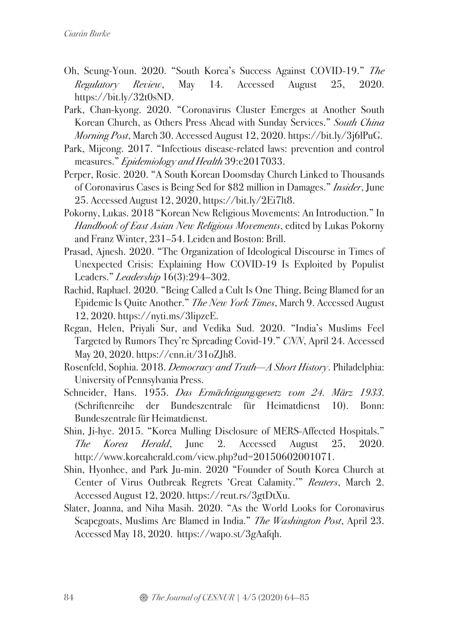- Oh, Seung-Youn. 2020. "South Korea's Success Against COVID-19." *The Regulatory Review*, May 14. Accessed August 25, 2020. https://bit.ly/32t0sND.
- Park, Chan-kyong. 2020. "Coronavirus Cluster Emerges at Another South Korean Church, as Others Press Ahead with Sunday Services." *South China Morning Post*, March 30. Accessed August 12, 2020. https://bit.ly/3j6lPuG.
- Park, Mijeong. 2017. "Infectious disease-related laws: prevention and control measures." *Epidemiology and Health* 39:e2017033.
- Perper, Rosie. 2020. "A South Korean Doomsday Church Linked to Thousands of Coronavirus Cases is Being Sed for \$82 million in Damages." *Insider*, June 25. Accessed August 12, 2020, https://bit.ly/2Ei7lt8.
- Pokorny, Lukas. 2018 "Korean New Religious Movements: An Introduction." In *Handbook of East Asian New Religious Movements*, edited by Lukas Pokorny and Franz Winter, 231–54. Leiden and Boston: Brill.
- Prasad, Ajnesh. 2020. "The Organization of Ideological Discourse in Times of Unexpected Crisis: Explaining How COVID-19 Is Exploited by Populist Leaders." *Leadership* 16(3):294–302.
- Rachid, Raphael. 2020. "Being Called a Cult Is One Thing, Being Blamed for an Epidemic Is Quite Another." *The New York Times*, March 9. Accessed August 12, 2020. https://nyti.ms/3lipzeE.
- Regan, Helen, Priyali Sur, and Vedika Sud. 2020. "India's Muslims Feel Targeted by Rumors They're Spreading Covid-19." *CNN*, April 24. Accessed May 20, 2020. https://cnn.it/31oZJh8.
- Rosenfeld, Sophia. 2018. *Democracy and Truth—A Short History*. Philadelphia: University of Pennsylvania Press.
- Schneider, Hans. 1955. *Das Ermächtigungsgesetz vom 24. März 1933*. (Schriftenreihe der Bundeszentrale für Heimatdienst 10). Bonn: Bundeszentrale für Heimatdienst.
- Shin, Ji-hye. 2015. "Korea Mulling Disclosure of MERS-Affected Hospitals." *The Korea Herald*, June 2. Accessed August 25, 2020. http://www.koreaherald.com/view.php?ud=20150602001071.
- Shin, Hyonhee, and Park Ju-min. 2020 "Founder of South Korea Church at Center of Virus Outbreak Regrets 'Great Calamity.'" *Reuters*, March 2. Accessed August 12, 2020. https://reut.rs/3gtDtXu.
- Slater, Joanna, and Niha Masih. 2020. "As the World Looks for Coronavirus Scapegoats, Muslims Are Blamed in India." *The Washington Post*, April 23. Accessed May 18, 2020. https://wapo.st/3gAafqh.